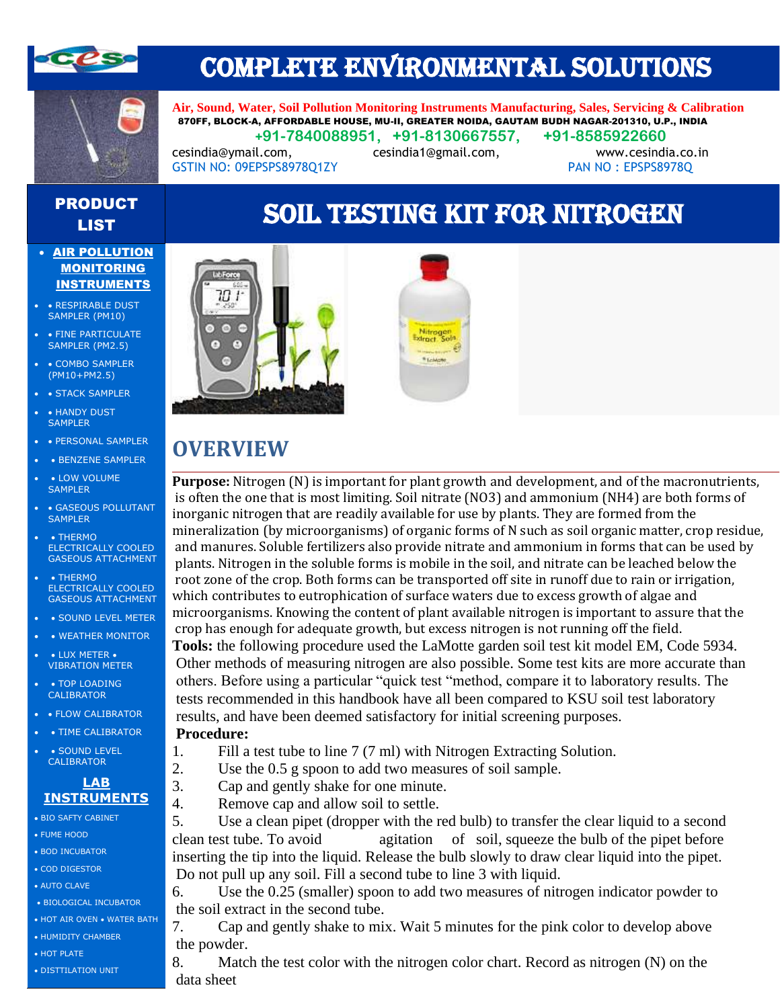



## COMPLETE ENVIRONMENTAL SOLUTIONS

**Air, Sound, Water, Soil Pollution Monitoring Instruments Manufacturing, Sales, Servicing & Calibration** 870FF, BLOCK-A, AFFORDABLE HOUSE, MU-II, GREATER NOIDA, GAUTAM BUDH NAGAR-201310, U.P., INDIA  **+91-7840088951, +91-8130667557, +91-8585922660**

[cesindia@ymail.com,](mailto:cesindia@ymail.com) [cesindia1@gmail.com,](mailto:cesindia1@gmail.com) [www.cesindia.co.in](http://www.cesindia.co.in/) 

GSTIN NO: 09EPSPS8978Q1ZY PAN NO: EPSPS8978Q

### PRODUCT **CODUCT SOIL TESTING KIT FOR NITROGEN**

#### • AIR POLLUTION MONITORING INSTRUMENTS

- RESPIRABLE DUST SAMPLER (PM10)
- FINE PARTICULATE SAMPLER (PM2.5)
- • COMBO SAMPLER (PM10+PM2.5)
- • STACK SAMPLER
- • HANDY DUST SAMPLER
- • PERSONAL SAMPLER
- BENZENE SAMPLER
- LOW VOLUME **SAMPLER**
- • GASEOUS POLLUTANT SAMPLER
- $\overline{\phantom{a}}$  THERMO ELECTRICALLY COOLED GASEOUS ATTACHMENT
- • THERMO ELECTRICALLY COOLED GASEOUS ATTACHMENT
- • SOUND LEVEL METER
- • WEATHER MONITOR
- LUX METER VIBRATION METER
- • TOP LOADING **CALIBRATOR**
- • FLOW CALIBRATOR
	- TIME CALIBRATOR
- • SOUND LEVEL CALIBRATOR

#### **LAB INSTRUMENTS**

- BIO SAFTY CABINET
- FUME HOOD
- BOD INCUBATOR
- COD DIGESTOR
- AUTO CLAVE
- BIOLOGICAL INCUBATOR
- HOT AIR OVEN WATER BATH • HUMIDITY CHAMBER
- HOT PLATE
- DISTTILATION UNIT



### **OVERVIEW**

**Purpose:** Nitrogen (N) is important for plant growth and development, and of the macronutrients, is often the one that is most limiting. Soil nitrate (NO3) and ammonium (NH4) are both forms of inorganic nitrogen that are readily available for use by plants. They are formed from the mineralization (by microorganisms) of organic forms of N such as soil organic matter, crop residue, and manures. Soluble fertilizers also provide nitrate and ammonium in forms that can be used by plants. Nitrogen in the soluble forms is mobile in the soil, and nitrate can be leached below the root zone of the crop. Both forms can be transported off site in runoff due to rain or irrigation, which contributes to eutrophication of surface waters due to excess growth of algae and microorganisms. Knowing the content of plant available nitrogen is important to assure that the crop has enough for adequate growth, but excess nitrogen is not running off the field. **Tools:** the following procedure used the LaMotte garden soil test kit model EM, Code 5934. Other methods of measuring nitrogen are also possible. Some test kits are more accurate than others. Before using a particular "quick test "method, compare it to laboratory results. The tests recommended in this handbook have all been compared to KSU soil test laboratory results, and have been deemed satisfactory for initial screening purposes. **Procedure:** 

- 1. Fill a test tube to line 7 (7 ml) with Nitrogen Extracting Solution.
- 2. Use the 0.5 g spoon to add two measures of soil sample.
- 3. Cap and gently shake for one minute.
- 4. Remove cap and allow soil to settle.

5. Use a clean pipet (dropper with the red bulb) to transfer the clear liquid to a second clean test tube. To avoid agitation of soil, squeeze the bulb of the pipet before inserting the tip into the liquid. Release the bulb slowly to draw clear liquid into the pipet. Do not pull up any soil. Fill a second tube to line 3 with liquid.

6. Use the 0.25 (smaller) spoon to add two measures of nitrogen indicator powder to the soil extract in the second tube.

7. Cap and gently shake to mix. Wait 5 minutes for the pink color to develop above the powder.

8. Match the test color with the nitrogen color chart. Record as nitrogen (N) on the data sheet